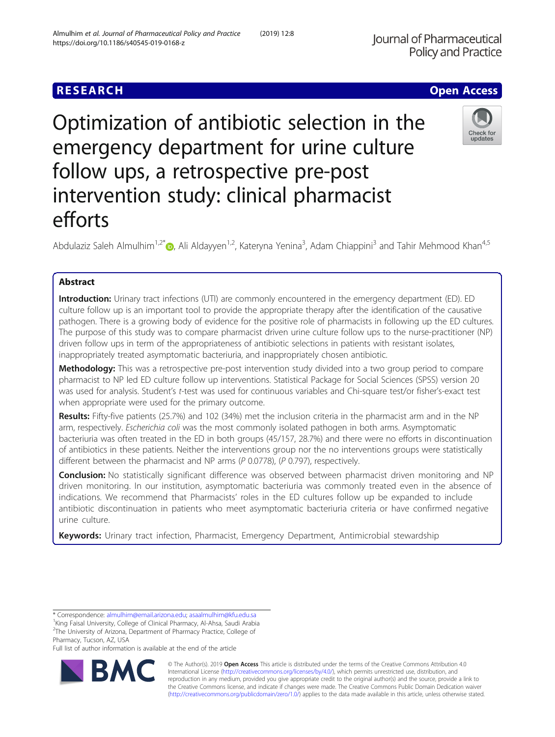# **RESEARCH CHE Open Access**

# Optimization of antibiotic selection in the emergency department for urine culture follow ups, a retrospective pre-post intervention study: clinical pharmacist efforts

Abdulaziz Saleh Almulhim<sup>1[,](http://orcid.org/0000-0002-3727-7543)2\*</sup>®, Ali Aldayyen<sup>1,2</sup>, Kateryna Yenina<sup>3</sup>, Adam Chiappini<sup>3</sup> and Tahir Mehmood Khan<sup>4,5</sup>

## Abstract

Introduction: Urinary tract infections (UTI) are commonly encountered in the emergency department (ED). ED culture follow up is an important tool to provide the appropriate therapy after the identification of the causative pathogen. There is a growing body of evidence for the positive role of pharmacists in following up the ED cultures. The purpose of this study was to compare pharmacist driven urine culture follow ups to the nurse-practitioner (NP) driven follow ups in term of the appropriateness of antibiotic selections in patients with resistant isolates, inappropriately treated asymptomatic bacteriuria, and inappropriately chosen antibiotic.

Methodology: This was a retrospective pre-post intervention study divided into a two group period to compare pharmacist to NP led ED culture follow up interventions. Statistical Package for Social Sciences (SPSS) version 20 was used for analysis. Student's t-test was used for continuous variables and Chi-square test/or fisher's-exact test when appropriate were used for the primary outcome.

Results: Fifty-five patients (25.7%) and 102 (34%) met the inclusion criteria in the pharmacist arm and in the NP arm, respectively. Escherichia coli was the most commonly isolated pathogen in both arms. Asymptomatic bacteriuria was often treated in the ED in both groups (45/157, 28.7%) and there were no efforts in discontinuation of antibiotics in these patients. Neither the interventions group nor the no interventions groups were statistically different between the pharmacist and NP arms (P 0.0778), (P 0.797), respectively.

Conclusion: No statistically significant difference was observed between pharmacist driven monitoring and NP driven monitoring. In our institution, asymptomatic bacteriuria was commonly treated even in the absence of indications. We recommend that Pharmacists' roles in the ED cultures follow up be expanded to include antibiotic discontinuation in patients who meet asymptomatic bacteriuria criteria or have confirmed negative urine culture.

Keywords: Urinary tract infection, Pharmacist, Emergency Department, Antimicrobial stewardship

<sup>1</sup>King Faisal University, College of Clinical Pharmacy, Al-Ahsa, Saudi Arabia <sup>2</sup>The University of Arizona, Department of Pharmacy Practice, College of Pharmacy, Tucson, AZ, USA

Full list of author information is available at the end of the article



Almulhim et al. Journal of Pharmaceutical Policy and Practice (2019) 12:8



<sup>\*</sup> Correspondence: [almulhim@email.arizona.edu;](mailto:almulhim@email.arizona.edu) [asaalmulhim@kfu.edu.sa](mailto:asaalmulhim@kfu.edu.sa) <sup>1</sup>

https://doi.org/10.1186/s40545-019-0168-z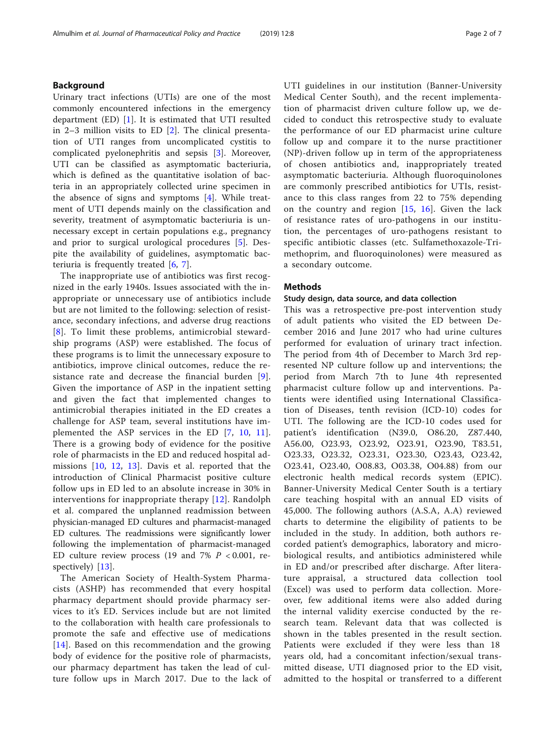### Background

Urinary tract infections (UTIs) are one of the most commonly encountered infections in the emergency department (ED) [[1\]](#page-5-0). It is estimated that UTI resulted in 2–3 million visits to ED [\[2](#page-5-0)]. The clinical presentation of UTI ranges from uncomplicated cystitis to complicated pyelonephritis and sepsis [\[3](#page-5-0)]. Moreover, UTI can be classified as asymptomatic bacteriuria, which is defined as the quantitative isolation of bacteria in an appropriately collected urine specimen in the absence of signs and symptoms [\[4](#page-5-0)]. While treatment of UTI depends mainly on the classification and severity, treatment of asymptomatic bacteriuria is unnecessary except in certain populations e.g., pregnancy and prior to surgical urological procedures [[5\]](#page-5-0). Despite the availability of guidelines, asymptomatic bacteriuria is frequently treated [[6](#page-5-0), [7](#page-5-0)].

The inappropriate use of antibiotics was first recognized in the early 1940s. Issues associated with the inappropriate or unnecessary use of antibiotics include but are not limited to the following: selection of resistance, secondary infections, and adverse drug reactions [[8](#page-5-0)]. To limit these problems, antimicrobial stewardship programs (ASP) were established. The focus of these programs is to limit the unnecessary exposure to antibiotics, improve clinical outcomes, reduce the resistance rate and decrease the financial burden [[9](#page-5-0)]. Given the importance of ASP in the inpatient setting and given the fact that implemented changes to antimicrobial therapies initiated in the ED creates a challenge for ASP team, several institutions have implemented the ASP services in the ED [[7,](#page-5-0) [10,](#page-5-0) [11](#page-5-0)]. There is a growing body of evidence for the positive role of pharmacists in the ED and reduced hospital admissions [[10](#page-5-0), [12,](#page-6-0) [13](#page-6-0)]. Davis et al. reported that the introduction of Clinical Pharmacist positive culture follow ups in ED led to an absolute increase in 30% in interventions for inappropriate therapy [[12\]](#page-6-0). Randolph et al. compared the unplanned readmission between physician-managed ED cultures and pharmacist-managed ED cultures. The readmissions were significantly lower following the implementation of pharmacist-managed ED culture review process (19 and 7%  $P < 0.001$ , re-spectively) [\[13\]](#page-6-0).

The American Society of Health-System Pharmacists (ASHP) has recommended that every hospital pharmacy department should provide pharmacy services to it's ED. Services include but are not limited to the collaboration with health care professionals to promote the safe and effective use of medications [[14](#page-6-0)]. Based on this recommendation and the growing body of evidence for the positive role of pharmacists, our pharmacy department has taken the lead of culture follow ups in March 2017. Due to the lack of UTI guidelines in our institution (Banner-University Medical Center South), and the recent implementation of pharmacist driven culture follow up, we decided to conduct this retrospective study to evaluate the performance of our ED pharmacist urine culture follow up and compare it to the nurse practitioner (NP)-driven follow up in term of the appropriateness of chosen antibiotics and, inappropriately treated asymptomatic bacteriuria. Although fluoroquinolones are commonly prescribed antibiotics for UTIs, resistance to this class ranges from 22 to 75% depending on the country and region  $[15, 16]$  $[15, 16]$  $[15, 16]$  $[15, 16]$ . Given the lack of resistance rates of uro-pathogens in our institution, the percentages of uro-pathogens resistant to specific antibiotic classes (etc. Sulfamethoxazole-Trimethoprim, and fluoroquinolones) were measured as a secondary outcome.

#### Methods

#### Study design, data source, and data collection

This was a retrospective pre-post intervention study of adult patients who visited the ED between December 2016 and June 2017 who had urine cultures performed for evaluation of urinary tract infection. The period from 4th of December to March 3rd represented NP culture follow up and interventions; the period from March 7th to June 4th represented pharmacist culture follow up and interventions. Patients were identified using International Classification of Diseases, tenth revision (ICD-10) codes for UTI. The following are the ICD-10 codes used for patient's identification (N39.0, O86.20, Z87.440, A56.00, O23.93, O23.92, O23.91, O23.90, T83.51, O23.33, O23.32, O23.31, O23.30, O23.43, O23.42, O23.41, O23.40, O08.83, O03.38, O04.88) from our electronic health medical records system (EPIC). Banner-University Medical Center South is a tertiary care teaching hospital with an annual ED visits of 45,000. The following authors (A.S.A, A.A) reviewed charts to determine the eligibility of patients to be included in the study. In addition, both authors recorded patient's demographics, laboratory and microbiological results, and antibiotics administered while in ED and/or prescribed after discharge. After literature appraisal, a structured data collection tool (Excel) was used to perform data collection. Moreover, few additional items were also added during the internal validity exercise conducted by the research team. Relevant data that was collected is shown in the tables presented in the result section. Patients were excluded if they were less than 18 years old, had a concomitant infection/sexual transmitted disease, UTI diagnosed prior to the ED visit, admitted to the hospital or transferred to a different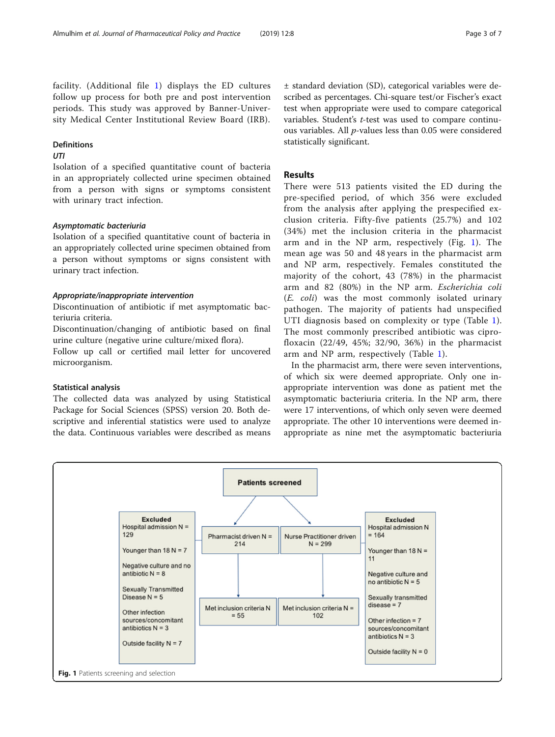facility. (Additional file [1\)](#page-5-0) displays the ED cultures follow up process for both pre and post intervention periods. This study was approved by Banner-University Medical Center Institutional Review Board (IRB).

#### Definitions

### UTI

Isolation of a specified quantitative count of bacteria in an appropriately collected urine specimen obtained from a person with signs or symptoms consistent with urinary tract infection.

#### Asymptomatic bacteriuria

Isolation of a specified quantitative count of bacteria in an appropriately collected urine specimen obtained from a person without symptoms or signs consistent with urinary tract infection.

#### Appropriate/inappropriate intervention

Discontinuation of antibiotic if met asymptomatic bacteriuria criteria.

Discontinuation/changing of antibiotic based on final urine culture (negative urine culture/mixed flora).

Follow up call or certified mail letter for uncovered microorganism.

#### Statistical analysis

The collected data was analyzed by using Statistical Package for Social Sciences (SPSS) version 20. Both descriptive and inferential statistics were used to analyze the data. Continuous variables were described as means ± standard deviation (SD), categorical variables were described as percentages. Chi-square test/or Fischer's exact test when appropriate were used to compare categorical variables. Student's t-test was used to compare continuous variables. All  $p$ -values less than 0.05 were considered statistically significant.

#### Results

There were 513 patients visited the ED during the pre-specified period, of which 356 were excluded from the analysis after applying the prespecified exclusion criteria. Fifty-five patients (25.7%) and 102 (34%) met the inclusion criteria in the pharmacist arm and in the NP arm, respectively (Fig. 1). The mean age was 50 and 48 years in the pharmacist arm and NP arm, respectively. Females constituted the majority of the cohort, 43 (78%) in the pharmacist arm and 82 (80%) in the NP arm. Escherichia coli (E. coli) was the most commonly isolated urinary pathogen. The majority of patients had unspecified UTI diagnosis based on complexity or type (Table [1](#page-3-0)). The most commonly prescribed antibiotic was ciprofloxacin (22/49, 45%; 32/90, 36%) in the pharmacist arm and NP arm, respectively (Table [1\)](#page-3-0).

In the pharmacist arm, there were seven interventions, of which six were deemed appropriate. Only one inappropriate intervention was done as patient met the asymptomatic bacteriuria criteria. In the NP arm, there were 17 interventions, of which only seven were deemed appropriate. The other 10 interventions were deemed inappropriate as nine met the asymptomatic bacteriuria

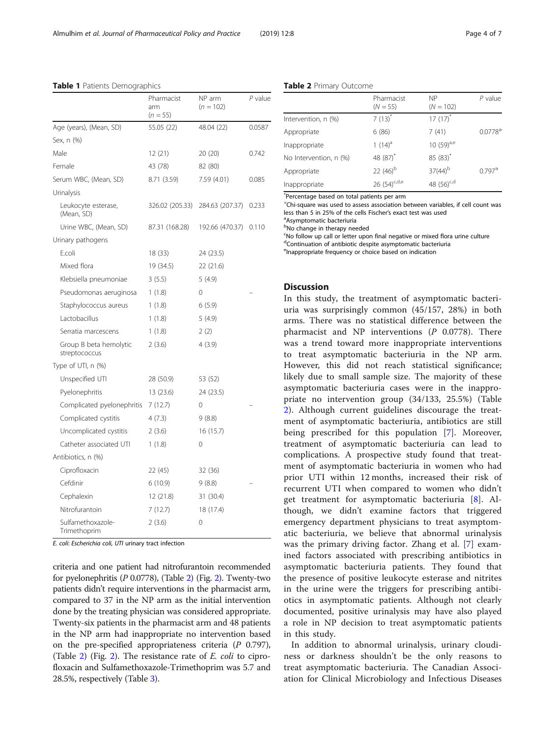|                                         | Pharmacist<br>arm<br>$(n = 55)$ | NP arm<br>$(n = 102)$ | P value |
|-----------------------------------------|---------------------------------|-----------------------|---------|
| Age (years), (Mean, SD)                 | 55.05 (22)                      | 48.04 (22)            | 0.0587  |
| Sex, n (%)                              |                                 |                       |         |
| Male                                    | 12 (21)                         | 20 (20)               | 0.742   |
| Female                                  | 43 (78)                         | 82 (80)               |         |
| Serum WBC, (Mean, SD)                   | 8.71 (3.59)                     | 7.59 (4.01)           | 0.085   |
| Urinalysis                              |                                 |                       |         |
| Leukocyte esterase,<br>(Mean, SD)       | 326.02 (205.33)                 | 284.63 (207.37)       | 0.233   |
| Urine WBC, (Mean, SD)                   | 87.31 (168.28)                  | 192.66 (470.37)       | 0.110   |
| Urinary pathogens                       |                                 |                       |         |
| E.coli                                  | 18 (33)                         | 24 (23.5)             |         |
| Mixed flora                             | 19 (34.5)                       | 22(21.6)              |         |
| Klebsiella pneumoniae                   | 3(5.5)                          | 5(4.9)                |         |
| Pseudomonas aeruginosa                  | 1(1.8)                          | $\Omega$              |         |
| Staphylococcus aureus                   | 1(1.8)                          | 6(5.9)                |         |
| Lactobacillus                           | 1(1.8)                          | 5(4.9)                |         |
| Serratia marcescens                     | 1(1.8)                          | 2(2)                  |         |
| Group B beta hemolytic<br>streptococcus | 2(3.6)                          | 4(3.9)                |         |
| Type of UTI, n (%)                      |                                 |                       |         |
| Unspecified UTI                         | 28 (50.9)                       | 53 (52)               |         |
| Pyelonephritis                          | 13 (23.6)                       | 24 (23.5)             |         |
| Complicated pyelonephritis              | 7(12.7)                         | 0                     |         |
| Complicated cystitis                    | 4(7.3)                          | 9(8.8)                |         |
| Uncomplicated cystitis                  | 2(3.6)                          | 16(15.7)              |         |
| Catheter associated UTI                 | 1(1.8)                          | 0                     |         |
| Antibiotics, n (%)                      |                                 |                       |         |
| Ciprofloxacin                           | 22 (45)                         | 32 (36)               |         |
| Cefdinir                                | 6(10.9)                         | 9(8.8)                |         |
| Cephalexin                              | 12 (21.8)                       | 31 (30.4)             |         |
| Nitrofurantoin                          | 7(12.7)                         | 18 (17.4)             |         |
| Sulfamethoxazole-<br>Trimethoprim       | 2(3.6)                          | 0                     |         |

<span id="page-3-0"></span>Table 1 Patients Demographics

E. coli: Escherichia coli, UTI urinary tract infection

criteria and one patient had nitrofurantoin recommended for pyelonephritis (P 0.0778), (Table 2) (Fig. [2\)](#page-4-0). Twenty-two patients didn't require interventions in the pharmacist arm, compared to 37 in the NP arm as the initial intervention done by the treating physician was considered appropriate. Twenty-six patients in the pharmacist arm and 48 patients in the NP arm had inappropriate no intervention based on the pre-specified appropriateness criteria  $(P \ 0.797)$ , (Table [2](#page-4-0)) (Fig. 2). The resistance rate of  $E$ . *coli* to ciprofloxacin and Sulfamethoxazole-Trimethoprim was 5.7 and 28.5%, respectively (Table [3](#page-4-0)).

|  |  | Table 2 Primary Outcome |
|--|--|-------------------------|
|--|--|-------------------------|

|                        | Pharmacist<br>$(N = 55)$ | <b>NP</b><br>$(N = 102)$ | $P$ value             |
|------------------------|--------------------------|--------------------------|-----------------------|
| Intervention, n (%)    | $7(13)^{*}$              | $17(17)$ <sup>*</sup>    |                       |
| Appropriate            | 6(86)                    | 7(41)                    | $0.0778$ <sup>3</sup> |
| Inappropriate          | $1(14)^a$                | 10 $(59)^{a,e}$          |                       |
| No Intervention, n (%) | 48 (87) <sup>*</sup>     | $85(83)^*$               |                       |
| Appropriate            | 22 $(46)^{b}$            | $37(44)^{b}$             | $0.797^{\circ}$       |
| Inappropriate          | 26 $(54)^{c,d,e}$        | 48 (56) <sup>c,d</sup>   |                       |

\* Percentage based on total patients per arm

∋ Chi-square was used to assess association between variables, if cell count was less than 5 in 25% of the cells Fischer's exact test was used

Asymptomatic bacteriuria **bNo change in therapy needed** 

<sup>c</sup>No follow up call or letter upon final negative or mixed flora urine culture dContinuation of antibiotic despite asymptomatic bacteriuria

eInappropriate frequency or choice based on indication

#### **Discussion**

In this study, the treatment of asymptomatic bacteriuria was surprisingly common (45/157, 28%) in both arms. There was no statistical difference between the pharmacist and NP interventions (P 0.0778). There was a trend toward more inappropriate interventions to treat asymptomatic bacteriuria in the NP arm. However, this did not reach statistical significance; likely due to small sample size. The majority of these asymptomatic bacteriuria cases were in the inappropriate no intervention group (34/133, 25.5%) (Table 2). Although current guidelines discourage the treatment of asymptomatic bacteriuria, antibiotics are still being prescribed for this population [\[7](#page-5-0)]. Moreover, treatment of asymptomatic bacteriuria can lead to complications. A prospective study found that treatment of asymptomatic bacteriuria in women who had prior UTI within 12 months, increased their risk of recurrent UTI when compared to women who didn't get treatment for asymptomatic bacteriuria [\[8](#page-5-0)]. Although, we didn't examine factors that triggered emergency department physicians to treat asymptomatic bacteriuria, we believe that abnormal urinalysis was the primary driving factor. Zhang et al. [[7\]](#page-5-0) examined factors associated with prescribing antibiotics in asymptomatic bacteriuria patients. They found that the presence of positive leukocyte esterase and nitrites in the urine were the triggers for prescribing antibiotics in asymptomatic patients. Although not clearly documented, positive urinalysis may have also played a role in NP decision to treat asymptomatic patients in this study.

In addition to abnormal urinalysis, urinary cloudiness or darkness shouldn't be the only reasons to treat asymptomatic bacteriuria. The Canadian Association for Clinical Microbiology and Infectious Diseases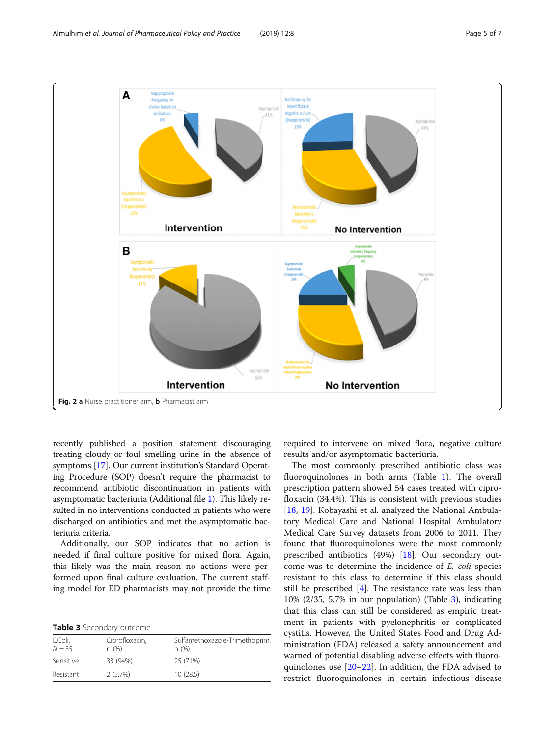<span id="page-4-0"></span>

recently published a position statement discouraging treating cloudy or foul smelling urine in the absence of symptoms [[17](#page-6-0)]. Our current institution's Standard Operating Procedure (SOP) doesn't require the pharmacist to recommend antibiotic discontinuation in patients with asymptomatic bacteriuria (Additional file [1\)](#page-5-0). This likely resulted in no interventions conducted in patients who were discharged on antibiotics and met the asymptomatic bacteriuria criteria.

Additionally, our SOP indicates that no action is needed if final culture positive for mixed flora. Again, this likely was the main reason no actions were performed upon final culture evaluation. The current staffing model for ED pharmacists may not provide the time

| Table 3 Secondary outcome |  |
|---------------------------|--|
|---------------------------|--|

| E.Coli,<br>$N = 35$ | Ciprofloxacin,<br>n(%) | Sulfamethoxazole-Trimethoprim,<br>n(%) |
|---------------------|------------------------|----------------------------------------|
| Sensitive           | 33 (94%)               | 25 (71%)                               |
| Resistant           | $2(5.7\%)$             | 10(28.5)                               |

required to intervene on mixed flora, negative culture results and/or asymptomatic bacteriuria.

The most commonly prescribed antibiotic class was fluoroquinolones in both arms (Table [1\)](#page-3-0). The overall prescription pattern showed 54 cases treated with ciprofloxacin (34.4%). This is consistent with previous studies [[18,](#page-6-0) [19\]](#page-6-0). Kobayashi et al. analyzed the National Ambulatory Medical Care and National Hospital Ambulatory Medical Care Survey datasets from 2006 to 2011. They found that fluoroquinolones were the most commonly prescribed antibiotics (49%) [\[18](#page-6-0)]. Our secondary outcome was to determine the incidence of E. coli species resistant to this class to determine if this class should still be prescribed [[4\]](#page-5-0). The resistance rate was less than 10% (2/35, 5.7% in our population) (Table 3), indicating that this class can still be considered as empiric treatment in patients with pyelonephritis or complicated cystitis. However, the United States Food and Drug Administration (FDA) released a safety announcement and warned of potential disabling adverse effects with fluoroquinolones use [[20](#page-6-0)–[22](#page-6-0)]. In addition, the FDA advised to restrict fluoroquinolones in certain infectious disease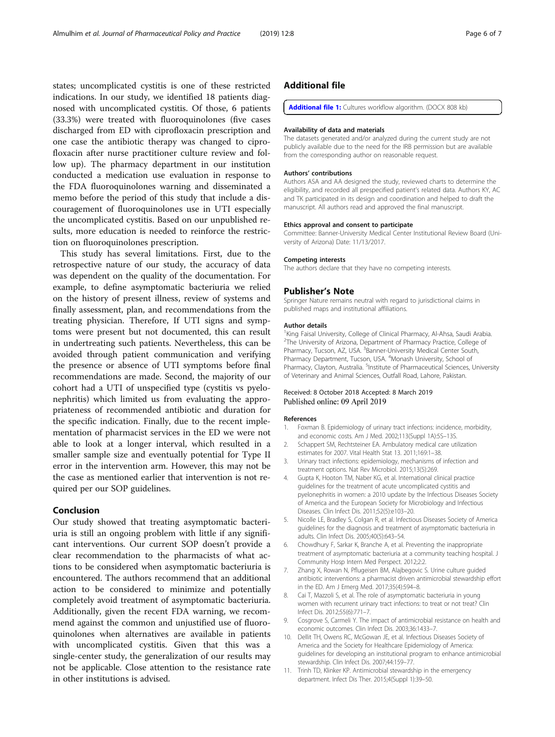<span id="page-5-0"></span>states; uncomplicated cystitis is one of these restricted indications. In our study, we identified 18 patients diagnosed with uncomplicated cystitis. Of those, 6 patients (33.3%) were treated with fluoroquinolones (five cases discharged from ED with ciprofloxacin prescription and one case the antibiotic therapy was changed to ciprofloxacin after nurse practitioner culture review and follow up). The pharmacy department in our institution conducted a medication use evaluation in response to the FDA fluoroquinolones warning and disseminated a memo before the period of this study that include a discouragement of fluoroquinolones use in UTI especially the uncomplicated cystitis. Based on our unpublished results, more education is needed to reinforce the restriction on fluoroquinolones prescription.

This study has several limitations. First, due to the retrospective nature of our study, the accuracy of data was dependent on the quality of the documentation. For example, to define asymptomatic bacteriuria we relied on the history of present illness, review of systems and finally assessment, plan, and recommendations from the treating physician. Therefore, If UTI signs and symptoms were present but not documented, this can result in undertreating such patients. Nevertheless, this can be avoided through patient communication and verifying the presence or absence of UTI symptoms before final recommendations are made. Second, the majority of our cohort had a UTI of unspecified type (cystitis vs pyelonephritis) which limited us from evaluating the appropriateness of recommended antibiotic and duration for the specific indication. Finally, due to the recent implementation of pharmacist services in the ED we were not able to look at a longer interval, which resulted in a smaller sample size and eventually potential for Type II error in the intervention arm. However, this may not be the case as mentioned earlier that intervention is not required per our SOP guidelines.

#### Conclusion

Our study showed that treating asymptomatic bacteriuria is still an ongoing problem with little if any significant interventions. Our current SOP doesn't provide a clear recommendation to the pharmacists of what actions to be considered when asymptomatic bacteriuria is encountered. The authors recommend that an additional action to be considered to minimize and potentially completely avoid treatment of asymptomatic bacteriuria. Additionally, given the recent FDA warning, we recommend against the common and unjustified use of fluoroquinolones when alternatives are available in patients with uncomplicated cystitis. Given that this was a single-center study, the generalization of our results may not be applicable. Close attention to the resistance rate in other institutions is advised.

#### Additional file

[Additional file 1:](https://doi.org/10.1186/s40545-019-0168-z) Cultures workflow algorithm. (DOCX 808 kb)

#### Availability of data and materials

The datasets generated and/or analyzed during the current study are not publicly available due to the need for the IRB permission but are available from the corresponding author on reasonable request.

#### Authors' contributions

Authors ASA and AA designed the study, reviewed charts to determine the eligibility, and recorded all prespecified patient's related data. Authors KY, AC and TK participated in its design and coordination and helped to draft the manuscript. All authors read and approved the final manuscript.

#### Ethics approval and consent to participate

Committee: Banner-University Medical Center Institutional Review Board (University of Arizona) Date: 11/13/2017.

#### Competing interests

The authors declare that they have no competing interests.

#### Publisher's Note

Springer Nature remains neutral with regard to jurisdictional claims in published maps and institutional affiliations.

#### Author details

<sup>1</sup> King Faisal University, College of Clinical Pharmacy, Al-Ahsa, Saudi Arabia <sup>2</sup>The University of Arizona, Department of Pharmacy Practice, College of Pharmacy, Tucson, AZ, USA. <sup>3</sup>Banner-University Medical Center South Pharmacy Department, Tucson, USA. <sup>4</sup>Monash University, School of Pharmacy, Clayton, Australia. <sup>5</sup>Institute of Pharmaceutical Sciences, University of Veterinary and Animal Sciences, Outfall Road, Lahore, Pakistan.

#### Received: 8 October 2018 Accepted: 8 March 2019 Published online: 09 April 2019

#### References

- 1. Foxman B. Epidemiology of urinary tract infections: incidence, morbidity, and economic costs. Am J Med. 2002;113(Suppl 1A):5S–13S.
- 2. Schappert SM, Rechtsteiner EA. Ambulatory medical care utilization estimates for 2007. Vital Health Stat 13. 2011;169:1–38.
- 3. Urinary tract infections: epidemiology, mechanisms of infection and treatment options. Nat Rev Microbiol. 2015;13(5):269.
- 4. Gupta K, Hooton TM, Naber KG, et al. International clinical practice guidelines for the treatment of acute uncomplicated cystitis and pyelonephritis in women: a 2010 update by the Infectious Diseases Society of America and the European Society for Microbiology and Infectious Diseases. Clin Infect Dis. 2011;52(5):e103–20.
- 5. Nicolle LE, Bradley S, Colgan R, et al. Infectious Diseases Society of America guidelines for the diagnosis and treatment of asymptomatic bacteriuria in adults. Clin Infect Dis. 2005;40(5):643–54.
- 6. Chowdhury F, Sarkar K, Branche A, et al. Preventing the inappropriate treatment of asymptomatic bacteriuria at a community teaching hospital. J Community Hosp Intern Med Perspect. 2012;2:2.
- 7. Zhang X, Rowan N, Pflugeisen BM, Alajbegovic S. Urine culture guided antibiotic interventions: a pharmacist driven antimicrobial stewardship effort in the ED. Am J Emerg Med. 2017;35(4):594–8.
- 8. Cai T, Mazzoli S, et al. The role of asymptomatic bacteriuria in young women with recurrent urinary tract infections: to treat or not treat? Clin Infect Dis. 2012;55(6):771–7.
- 9. Cosgrove S, Carmeli Y. The impact of antimicrobial resistance on health and economic outcomes. Clin Infect Dis. 2003;36:1433–7.
- 10. Dellit TH, Owens RC, McGowan JE, et al. Infectious Diseases Society of America and the Society for Healthcare Epidemiology of America: guidelines for developing an institutional program to enhance antimicrobial stewardship. Clin Infect Dis. 2007;44:159–77.
- 11. Trinh TD, Klinker KP. Antimicrobial stewardship in the emergency department. Infect Dis Ther. 2015;4(Suppl 1):39–50.